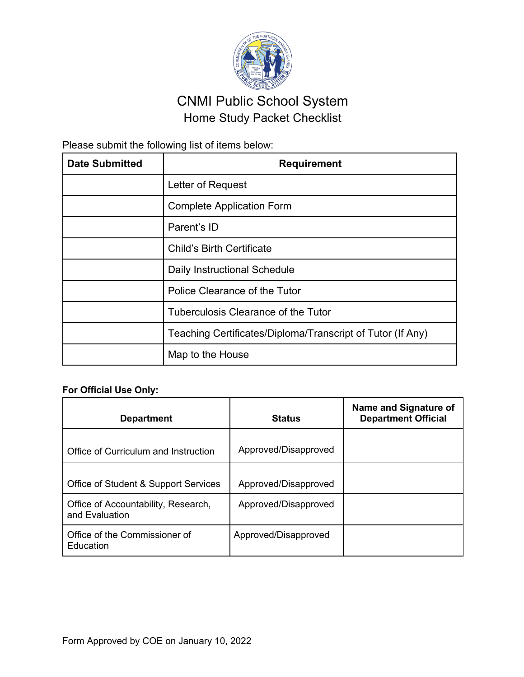

## CNMI Public School System Home Study Packet Checklist

Please submit the following list of items below:

| <b>Date Submitted</b> | <b>Requirement</b>                                         |
|-----------------------|------------------------------------------------------------|
|                       | Letter of Request                                          |
|                       | <b>Complete Application Form</b>                           |
|                       | Parent's ID                                                |
|                       | <b>Child's Birth Certificate</b>                           |
|                       | Daily Instructional Schedule                               |
|                       | Police Clearance of the Tutor                              |
|                       | Tuberculosis Clearance of the Tutor                        |
|                       | Teaching Certificates/Diploma/Transcript of Tutor (If Any) |
|                       | Map to the House                                           |

## **For Official Use Only:**

| <b>Department</b>                                     | <b>Status</b>        | Name and Signature of<br><b>Department Official</b> |
|-------------------------------------------------------|----------------------|-----------------------------------------------------|
| Office of Curriculum and Instruction                  | Approved/Disapproved |                                                     |
| Office of Student & Support Services                  | Approved/Disapproved |                                                     |
| Office of Accountability, Research,<br>and Evaluation | Approved/Disapproved |                                                     |
| Office of the Commissioner of<br>Education            | Approved/Disapproved |                                                     |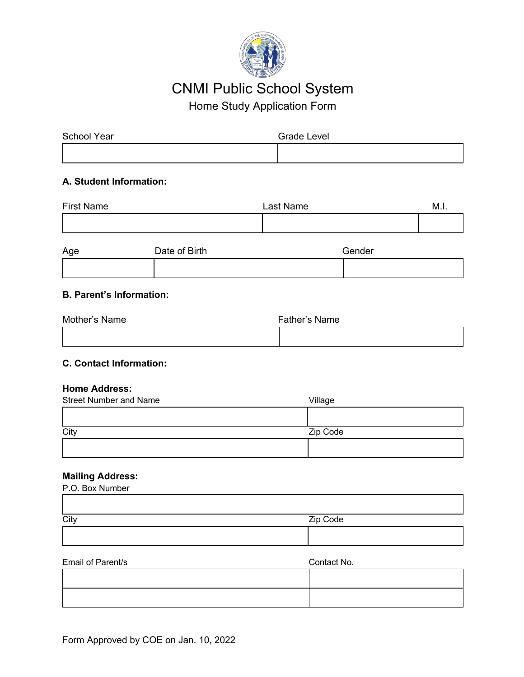

# CNMI Public School System

Home Study Application Form

| School Year | <b>Grade Level</b> |
|-------------|--------------------|
|             |                    |

## **A. Student Information:**

| <b>First Name</b> | Last Name | M.I. |
|-------------------|-----------|------|
|                   |           |      |

| Age | Date of Birth | Gender |
|-----|---------------|--------|
|     |               |        |

## **B. Parent's Information:**

| Mother's Name | Father's Name |
|---------------|---------------|
|               |               |

## **C. Contact Information:**

#### **Home Address:**

| Village  |
|----------|
|          |
| Zip Code |
|          |
|          |

## **Mailing Address:**

| P.O. Box Number |          |
|-----------------|----------|
|                 |          |
| City            | Zip Code |
|                 |          |
|                 |          |

#### Email of Parent/s Contact No.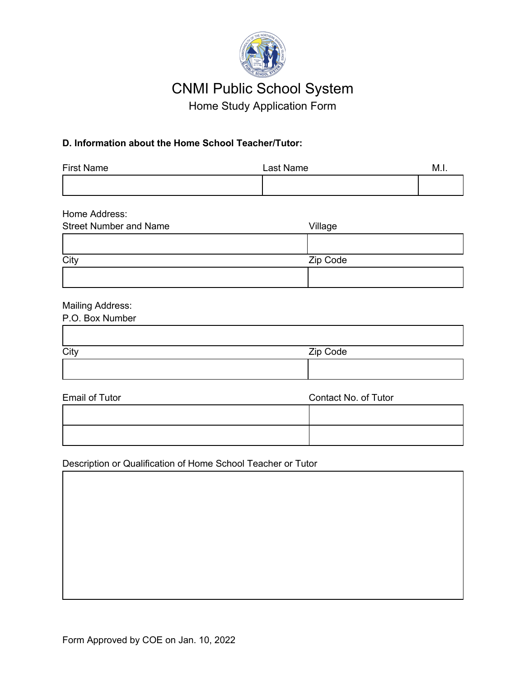

# CNMI Public School System

Home Study Application Form

## **D. Information about the Home School Teacher/Tutor:**

| <b>First Name</b> | Last Name | M.I. |
|-------------------|-----------|------|
|                   |           |      |

| Home Address:                 |          |
|-------------------------------|----------|
| <b>Street Number and Name</b> | Village  |
|                               |          |
| City                          | Zip Code |
|                               |          |

## Mailing Address:

| P.O. Box Number |          |
|-----------------|----------|
|                 |          |
|                 | Zip Code |
|                 |          |
|                 |          |

| <b>Email of Tutor</b> | Contact No. of Tutor |  |  |
|-----------------------|----------------------|--|--|
|                       |                      |  |  |
|                       |                      |  |  |

Description or Qualification of Home School Teacher or Tutor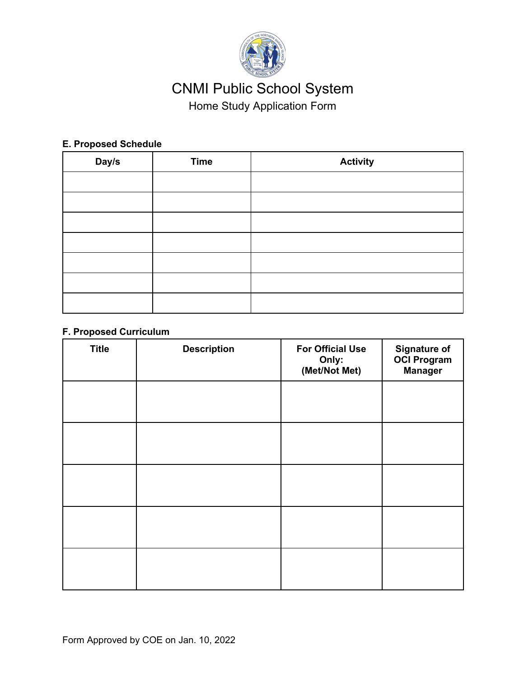

# CNMI Public School System Home Study Application Form

## **E. Proposed Schedule**

| Day/s | <b>Time</b> | <b>Activity</b> |
|-------|-------------|-----------------|
|       |             |                 |
|       |             |                 |
|       |             |                 |
|       |             |                 |
|       |             |                 |
|       |             |                 |
|       |             |                 |

## **F. Proposed Curriculum**

| <b>Title</b> | <b>Description</b> | <b>For Official Use</b><br>Only:<br>(Met/Not Met) | <b>Signature of</b><br><b>OCI Program</b><br><b>Manager</b> |
|--------------|--------------------|---------------------------------------------------|-------------------------------------------------------------|
|              |                    |                                                   |                                                             |
|              |                    |                                                   |                                                             |
|              |                    |                                                   |                                                             |
|              |                    |                                                   |                                                             |
|              |                    |                                                   |                                                             |